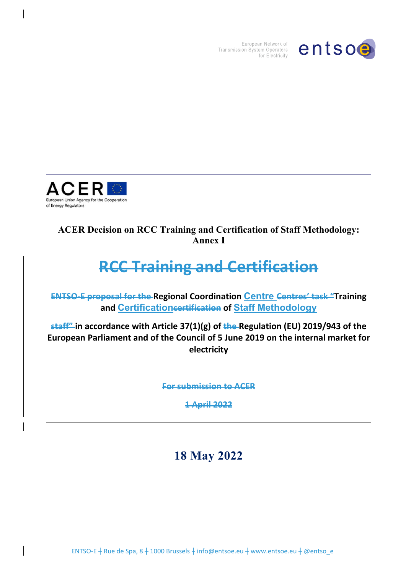

European Network of Transmission System Operators for Electricity



# **ACER Decision on RCC Training and Certification of Staff Methodology: Annex I**

# **RCC Training and Certification**

**ENTSO-E proposal for the Regional Coordination Centre Centres' task "Training and Certificationcertification of Staff Methodology** 

**staff" in accordance with Article 37(1)(g) of the Regulation (EU) 2019/943 of the European Parliament and of the Council of 5 June 2019 on the internal market for electricity** 

**For submission to ACER**

**1 April 2022**

**18 May 2022** 

ENTSO E + Rue de Spa, 8 + 1000 Brussels + info@entsoe.eu + www.entsoe.eu + @entso\_e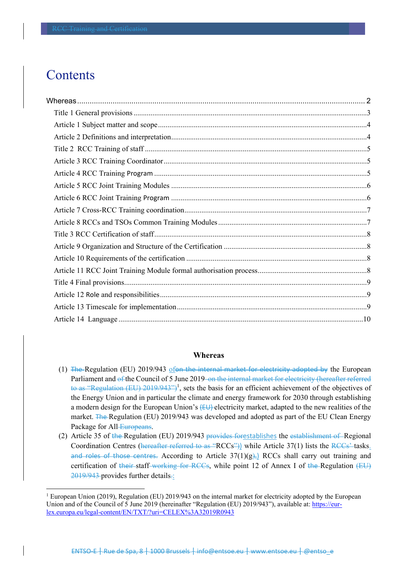# **Contents**

l

#### **Whereas**

- (1) The Regulation (EU) 2019/943 ofon the internal market for electricity adopted by the European Parliament and of the Council of 5 June 2019 on the internal market for electricity (hereafter referred to as "Regulation (EU)  $2019/943$ ")<sup>1</sup>, sets the basis for an efficient achievement of the objectives of the Energy Union and in particular the climate and energy framework for 2030 through establishing a modern design for the European Union's (EU) electricity market, adapted to the new realities of the market. The Regulation (EU) 2019/943 was developed and adopted as part of the EU Clean Energy Package for All Europeans.
- (2) Article 35 of the Regulation (EU) 2019/943 provides forestablishes the establishment of Regional Coordination Centres (hereafter referred to as "RCCs")) while Article  $37(1)$  lists the RCCs" tasks. and roles of those centres. According to Article  $37(1)(g)$ , RCCs shall carry out training and certification of their staff working for RCCs, while point 12 of Annex I of the Regulation (EU) 2019/943 provides further details.:

<sup>&</sup>lt;sup>1</sup> European Union (2019), Regulation (EU) 2019/943 on the internal market for electricity adopted by the European Union and of the Council of 5 June 2019 (hereinafter "Regulation (EU) 2019/943"), available at: https://eurlex.europa.eu/legal-content/EN/TXT/?uri=CELEX%3A32019R0943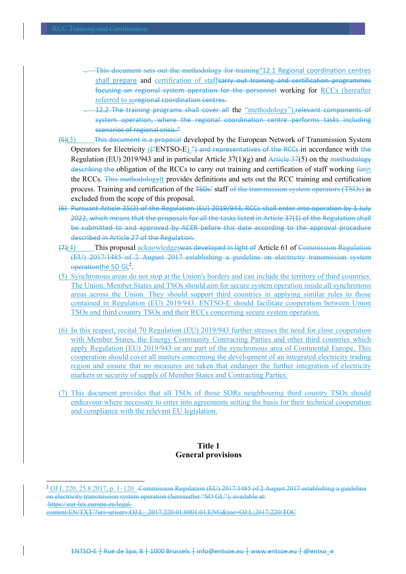l

- . This document sets out the methodology for training"12.1 Regional coordination centres shall prepare and certification of staffearry out training and certification programmes focusing on regional system operation for the personnel working for RCCs (hereafter referred to asregional coordination centres.
- 12.2 The training programs shall cover all the "methodology"), relevant components of system operation, where the regional coordination centre performs tasks including scenarios of regional crisis."
- (5)(3) This document is a proposal developed by the European Network of Transmission System Operators for Electricity ( $($ "ENTSO-E)  $'$ ") and representatives of the RCCs-in accordance with the Regulation (EU) 2019/943 and in particular Article  $37(1)(g)$  and Article  $37(5)$  on the methodology describing the obligation of the RCCs to carry out training and certification of staff working form the RCCs. This methodologyIt provides definitions and sets out the RCC training and certification process. Training and certification of the TSOs' staff of the transmission system operators (TSOs) is excluded from the scope of this proposal.
- (6) Pursuant Article 35(2) of the Regulation (EU) 2019/943, RCCs shall enter into operation by 1 July 2022, which means that the proposals for all the tasks listed in Article 37(1) of the Regulation shall be submitted to and approved by ACER before this date according to the approval procedure described in Article 27 of the Regulation.
- (7)(4) This proposal acknowledgeswas developed in light of Article 61 of Commission Regulation (EU) 2017/1485 of 2 August 2017 establishing a guideline on electricity transmission system operationthe SO GL<sup>2</sup>.
- (5) Synchronous areas do not stop at the Union's borders and can include the territory of third countries. The Union, Member States and TSOs should aim for secure system operation inside all synchronous areas across the Union. They should support third countries in applying similar rules to those contained in Regulation (EU) 2019/943. ENTSO-E should facilitate cooperation between Union TSOs and third country TSOs and their RCCs concerning secure system operation.
- (6) In this respect, recital 70 Regulation (EU) 2019/943 further stresses the need for close cooperation with Member States, the Energy Community Contracting Parties and other third countries which apply Regulation (EU) 2019/943 or are part of the synchronous area of Continental Europe. This cooperation should cover all matters concerning the development of an integrated electricity trading region and ensure that no measures are taken that endanger the further integration of electricity markets or security of supply of Member States and Contracting Parties.
- (7) This document provides that all TSOs of those SORs neighbouring third country TSOs should endeavour where necessary to enter into agreements setting the basis for their technical cooperation and compliance with the relevant EU legislation.

# **Title 1 General provisions**

<sup>&</sup>lt;sup>2</sup> OJ L 220, 25.8.2017, p. 1–120 - Commission Regulation (EU) 2017/1485 of 2 August 2017 establishing a guideline on electricity transmission system operation (hereinafter "SO GL"), available at: https://eur-lex.europa.eu/legalcontent/EN/TXT/?uri=uriserv:OJ.L\_.2017.220.01.0001.01.ENG&toc=OJ:L:2017:220:TOC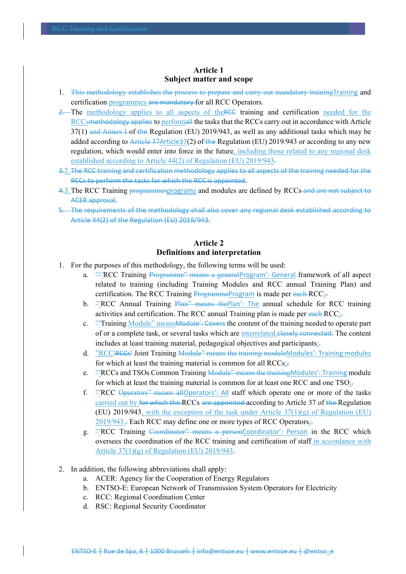# **Article 1 Subject matter and scope**

- 1. This methodology establishes the process to prepare and carry out mandatory training Training and certification programmes are mandatory for all RCC Operators.
- 2. The methodology applies to all aspects of the RCC training and certification needed for the RCCsmethodology applies to performall the tasks that the RCCs carry out in accordance with Article  $37(1)$  and Annex I of the Regulation (EU) 2019/943, as well as any additional tasks which may be added according to Article 37Article 37(2) of the Regulation (EU) 2019/943 or according to any new regulation, which would enter into force in the future, including those related to any regional desk established according to Article 44(2) of Regulation (EU) 2019/943.
- 3.2. The RCC training and certification methodology applies to all aspects of the training needed for the RCCs to perform the tasks for which the RCC is appointed.
- 4.3. The RCC Training programmesprograms and modules are defined by RCCs-and are not subject to ACER approval.
- 5. The requirements of the methodology shall also cover any regional desk established according to Article 44(2) of the Regulation (EU) 2019/943.

# **Article 2 Definitions and interpretation**

- 1. For the purposes of this methodology, the following terms will be used:
	- a. <sup>""</sup>RCC Training Programme" means a general Program': General framework of all aspect related to training (including Training Modules and RCC annual Training Plan) and certification. The RCC Training ProgrammeProgram is made per each RCC;
	- b. "RCC Annual Training Plan" means the Plan': The annual schedule for RCC training activities and certification. The RCC annual Training plan is made per each  $RCC$ ;
	- c. <sup>2</sup>Training Module" means Module': Covers the content of the training needed to operate part of or a complete task, or several tasks which are interrelated. Closely connected. The content includes at least training material, pedagogical objectives and participants;.
	- d. "RCC'RCCs' Joint Training Module" means the training moduleModules': Training modules for which at least the training material is common for all RCCs;
	- e. <sup>2</sup> RCCs and TSOs Common Training Module<sup>2</sup> means the training Modules': Training module for which at least the training material is common for at least one RCC and one  $TSO_{\frac{1}{2}}$ .
	- f. "'RCC Operators" means allOperators': All staff which operate one or more of the tasks carried out by for which the RCCs are appointed according to Article 37 of the Regulation (EU) 2019/943, with the exception of the task under Article 37(1)(g) of Regulation (EU) 2019/943.. Each RCC may define one or more types of RCC Operators;.
	- g. "'RCC Training Coordinator" means a personCoordinator': Person in the RCC which oversees the coordination of the RCC training and certification of staff in accordance with Article 37(1)(g) of Regulation (EU) 2019/943.
- 2. In addition, the following abbreviations shall apply:
	- a. ACER: Agency for the Cooperation of Energy Regulators
	- b. ENTSO-E: European Network of Transmission System Operators for Electricity
	- c. RCC: Regional Coordination Center
	- d. RSC: Regional Security Coordinator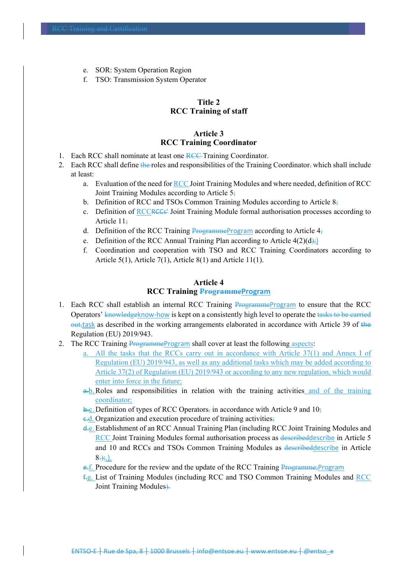- e. SOR: System Operation Region
- f. TSO: Transmission System Operator

# **Title 2 RCC Training of staff**

#### **Article 3 RCC Training Coordinator**

- 1. Each RCC shall nominate at least one RCC Training Coordinator.
- 2. Each RCC shall define the roles and responsibilities of the Training Coordinator, which shall include at least:
	- a. Evaluation of the need for RCC Joint Training Modules and where needed, definition of RCC Joint Training Modules according to Article 5;
	- b. Definition of RCC and TSOs Common Training Modules according to Article  $8\frac{1}{2}$
	- c. Definition of RCCRCCs<sup>2</sup> Joint Training Module formal authorisation processes according to Article 11;
	- d. Definition of the RCC Training ProgrammeProgram according to Article  $4\frac{1}{2}$
	- e. Definition of the RCC Annual Training Plan according to Article  $4(2)(d)$ ;
	- f. Coordination and cooperation with TSO and RCC Training Coordinators according to Article 5(1), Article 7(1), Article 8(1) and Article 11(1).

#### **Article 4 RCC Training ProgrammeProgram**

- 1. Each RCC shall establish an internal RCC Training ProgrammeProgram to ensure that the RCC Operators' knowledgeknow-how is kept on a consistently high level to operate the tasks to be carried  $\frac{\text{out}}{\text{at}}$  as described in the working arrangements elaborated in accordance with Article 39 of the Regulation (EU) 2019/943.
- 2. The RCC Training ProgrammeProgram shall cover at least the following aspects:
	- a. All the tasks that the RCCs carry out in accordance with Article 37(1) and Annex I of Regulation (EU) 2019/943, as well as any additional tasks which may be added according to Article 37(2) of Regulation (EU) 2019/943 or according to any new regulation, which would enter into force in the future;
	- a.b.Roles and responsibilities in relation with the training activities and of the training coordinator;
	- $\frac{1}{2}$ .c. Definition of types of RCC Operators, in accordance with Article 9 and 10;
	- $\epsilon$ d. Organization and execution procedure of training activities;
	- d.e. Establishment of an RCC Annual Training Plan (including RCC Joint Training Modules and RCC Joint Training Modules formal authorisation process as describeddescribe in Article 5 and 10 and RCCs and TSOs Common Training Modules as describeddescribe in Article  $8\rightarrow$ .).
	- e.f. Procedure for the review and the update of the RCC Training Programme;Program
	- f.g. List of Training Modules (including RCC and TSO Common Training Modules and RCC Joint Training Modules).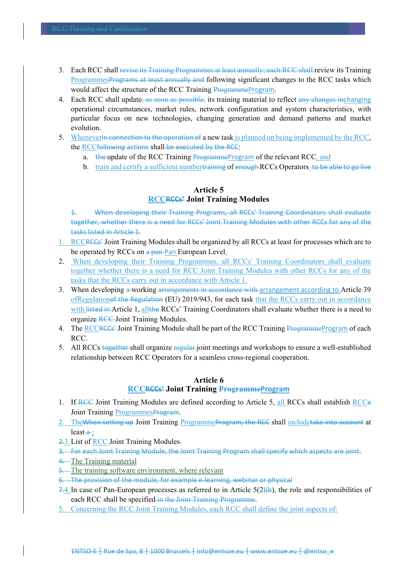- 3. Each RCC shall revise its Training Programmes at least annually; each RCC shall review its Training ProgrammesPrograms at least annually and following significant changes to the RCC tasks which would affect the structure of the RCC Training ProgrammeProgram.
- 4. Each RCC shall update, as soon as possible, its training material to reflect any changes inchanging operational circumstances, market rules, network configuration and system characteristics, with particular focus on new technologies, changing generation and demand patterns and market evolution.
- 5. Whenever<del>ln connection to the operation of</del> a new task is planned on being implemented by the RCC, the RCCfollowing actions shall be executed by the RCC:
	- a. the update of the RCC Training ProgrammeProgram of the relevant RCC, and
	- b. train and certify a sufficient numbertraining of enough RCCs Operators. to be able to go live

# **Article 5 RCCRCCs' Joint Training Modules**

1. When developing their Training Programs, all RCCs' Training Coordinators shall evaluate together, whether there is a need for RCCs' Joint Training Modules with other RCCs for any of the tasks listed in Article 1.

- 1. RCCRCCs' Joint Training Modules shall be organized by all RCCs at least for processes which are to be operated by RCCs on a pan-Pan European Level.
- 2. When developing their Training Programmes, all RCCs' Training Coordinators shall evaluate together whether there is a need for RCC Joint Training Modules with other RCCs for any of the tasks that the RCCs carry out in accordance with Article 1.
- 3. When developing a working arrangements in accordance with arrangement according to Article 39 ofRegulation of the Regulation (EU) 2019/943, for each task that the RCCs carry out in accordance with listed in Article 1, allthe RCCs' Training Coordinators shall evaluate whether there is a need to organize RCC Joint Training Modules.
- 4. The RCCRCCs' Joint Training Module shall be part of the RCC Training ProgrammeProgram of each RCC.
- 5. All RCCs together shall organize regular joint meetings and workshops to ensure a well-established relationship between RCC Operators for a seamless cross-regional cooperation.

# **Article 6 RCCRCCs' Joint Training ProgrammeProgram**

- 1. If RCC Joint Training Modules are defined according to Article 5, all RCCs shall establish RCCa Joint Training ProgrammesProgram.
- 2. The When setting up Joint Training Programme Program, the RCC shall includetake into account at  $least-a$ :
- 2.3.List of RCC Joint Training Modules.
- 3. For each Joint Training Module, the Joint Training Program shall specify which aspects are joint.
- 4. The Training material
- 5. The training software environment, where relevant
- 6. The provision of the module, for example e‐learning, webinar or physical
- $7.4$ . In case of Pan-European processes as referred to in Article 5(2)(b), the role and responsibilities of each RCC shall be specified in the Joint Training Programme.
- 5. Concerning the RCC Joint Training Modules, each RCC shall define the joint aspects of: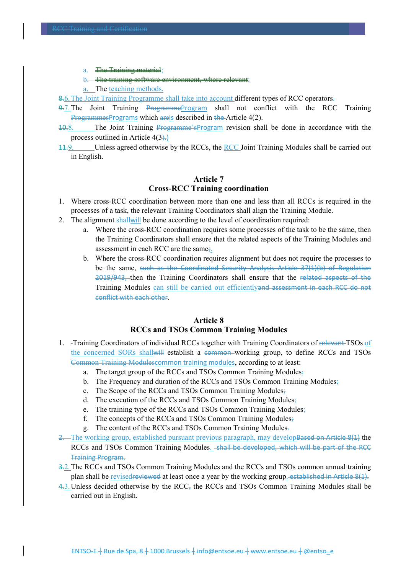The Training material;

The training software environment, where relevant;

a. The teaching methods.

8.6. The Joint Training Programme shall take into account different types of RCC operators.

- 9.7. The Joint Training ProgrammeProgram shall not conflict with the RCC Training ProgrammesPrograms which areis described in the Article 4(2).
- 10.8. The Joint Training Programme'sProgram revision shall be done in accordance with the process outlined in Article 4(3).)
- 11.9. Unless agreed otherwise by the RCCs, the RCC Joint Training Modules shall be carried out in English.

# **Article 7 Cross-RCC Training coordination**

- 1. Where cross-RCC coordination between more than one and less than all RCCs is required in the processes of a task, the relevant Training Coordinators shall align the Training Module.
- 2. The alignment shallwill be done according to the level of coordination required:
	- a. Where the cross-RCC coordination requires some processes of the task to be the same, then the Training Coordinators shall ensure that the related aspects of the Training Modules and assessment in each RCC are the same;.
	- b. Where the cross-RCC coordination requires alignment but does not require the processes to be the same, such as the Coordinated Security Analysis Article 37(1)(b) of Regulation 2019/943, then the Training Coordinators shall ensure that the related aspects of the Training Modules can still be carried out efficientlyand assessment in each RCC do not conflict with each other.

# **Article 8 RCCs and TSOs Common Training Modules**

- 1. -Training Coordinators of individual RCCs together with Training Coordinators of relevant TSOs of the concerned SORs shallwill establish a common working group, to define RCCs and TSOs Common Training Modulescommon training modules, according to at least:
	- a. The target group of the RCCs and TSOs Common Training Modules;
	- b. The Frequency and duration of the RCCs and TSOs Common Training Modules;
	- c. The Scope of the RCCs and TSOs Common Training Modules;
	- d. The execution of the RCCs and TSOs Common Training Modules;
	- e. The training type of the RCCs and TSOs Common Training Modules;
	- f. The concepts of the RCCs and TSOs Common Training Modules;
	- g. The content of the RCCs and TSOs Common Training Modules.
- 2. The working group, established pursuant previous paragraph, may develop based on Article 8(1) the RCCs and TSOs Common Training Modules. Shall be developed, which will be part of the RCC Training Program.
- 3.2.The RCCs and TSOs Common Training Modules and the RCCs and TSOs common annual training plan shall be revised reviewed at least once a year by the working group. established in Article 8(1).
- 4.3. Unless decided otherwise by the  $RCC<sub>5</sub>$  the RCCs and TSOs Common Training Modules shall be carried out in English.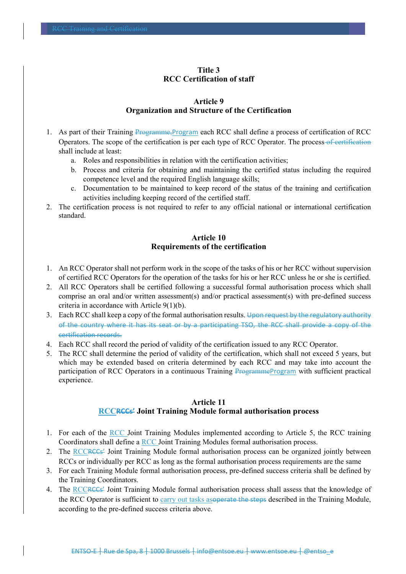# **Title 3 RCC Certification of staff**

#### **Article 9 Organization and Structure of the Certification**

- 1. As part of their Training Programme,Program each RCC shall define a process of certification of RCC Operators. The scope of the certification is per each type of RCC Operator. The process of certification shall include at least:
	- a. Roles and responsibilities in relation with the certification activities;
	- b. Process and criteria for obtaining and maintaining the certified status including the required competence level and the required English language skills;
	- c. Documentation to be maintained to keep record of the status of the training and certification activities including keeping record of the certified staff.
- 2. The certification process is not required to refer to any official national or international certification standard.

# **Article 10 Requirements of the certification**

- 1. An RCC Operator shall not perform work in the scope of the tasks of his or her RCC without supervision of certified RCC Operators for the operation of the tasks for his or her RCC unless he or she is certified.
- 2. All RCC Operators shall be certified following a successful formal authorisation process which shall comprise an oral and/or written assessment(s) and/or practical assessment(s) with pre-defined success criteria in accordance with Article 9(1)(b).
- 3. Each RCC shall keep a copy of the formal authorisation results. Upon request by the regulatory authority of the country where it has its seat or by a participating TSO, the RCC shall provide a copy of the certification records.
- 4. Each RCC shall record the period of validity of the certification issued to any RCC Operator.
- 5. The RCC shall determine the period of validity of the certification, which shall not exceed 5 years, but which may be extended based on criteria determined by each RCC and may take into account the participation of RCC Operators in a continuous Training ProgrammeProgram with sufficient practical experience.

# **Article 11 RCCRCCs' Joint Training Module formal authorisation process**

- 1. For each of the RCC Joint Training Modules implemented according to Article 5, the RCC training Coordinators shall define a RCC Joint Training Modules formal authorisation process.
- 2. The RCCRCCs' Joint Training Module formal authorisation process can be organized jointly between RCCs or individually per RCC as long as the formal authorisation process requirements are the same
- 3. For each Training Module formal authorisation process, pre-defined success criteria shall be defined by the Training Coordinators.
- 4. The RCCRCCs' Joint Training Module formal authorisation process shall assess that the knowledge of the RCC Operator is sufficient to carry out tasks as<del>operate the steps</del> described in the Training Module, according to the pre-defined success criteria above.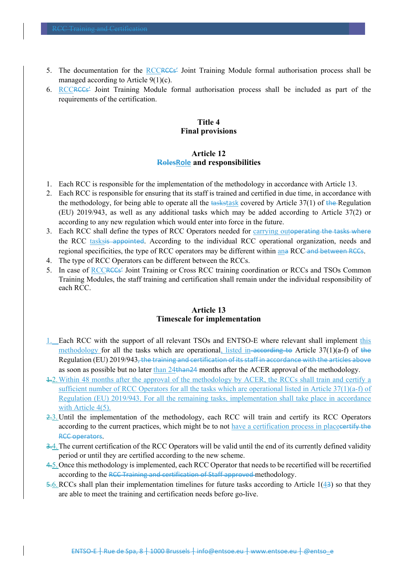- 5. The documentation for the RCCRCCs' Joint Training Module formal authorisation process shall be managed according to Article 9(1)(c).
- 6. RCCRCCs' Joint Training Module formal authorisation process shall be included as part of the requirements of the certification.

#### **Title 4 Final provisions**

#### **Article 12 RolesRole and responsibilities**

- 1. Each RCC is responsible for the implementation of the methodology in accordance with Article 13.
- 2. Each RCC is responsible for ensuring that its staff is trained and certified in due time, in accordance with the methodology, for being able to operate all the taskstask covered by Article  $37(1)$  of the Regulation (EU) 2019/943, as well as any additional tasks which may be added according to Article 37(2) or according to any new regulation which would enter into force in the future.
- 3. Each RCC shall define the types of RCC Operators needed for carrying out<del>operating the tasks where</del> the RCC tasksis appointed. According to the individual RCC operational organization, needs and regional specificities, the type of RCC operators may be different within ana RCC and between RCCs.
- 4. The type of RCC Operators can be different between the RCCs.
- 5. In case of RCCRCCs' Joint Training or Cross RCC training coordination or RCCs and TSOs Common Training Modules, the staff training and certification shall remain under the individual responsibility of each RCC.

# **Article 13 Timescale for implementation**

- 1. Each RCC with the support of all relevant TSOs and ENTSO-E where relevant shall implement this methodology for all the tasks which are operational, listed in according to Article  $37(1)(a-f)$  of the Regulation (EU) 2019/943, the training and certification of its staff in accordance with the articles above as soon as possible but no later than 24than24 months after the ACER approval of the methodology.
- 1.2.Within 48 months after the approval of the methodology by ACER, the RCCs shall train and certify a sufficient number of RCC Operators for all the tasks which are operational listed in Article 37(1)(a-f) of Regulation (EU) 2019/943. For all the remaining tasks, implementation shall take place in accordance with Article 4(5).
- 2.3.Until the implementation of the methodology, each RCC will train and certify its RCC Operators according to the current practices, which might be to not have a certification process in placecertify the RCC operators.
- 3.4. The current certification of the RCC Operators will be valid until the end of its currently defined validity period or until they are certified according to the new scheme.
- 4.5.Once this methodology is implemented, each RCC Operator that needs to be recertified will be recertified according to the RCC Training and certification of Staff approved methodology.
- 5.6.RCCs shall plan their implementation timelines for future tasks according to Article 1(43) so that they are able to meet the training and certification needs before go-live.